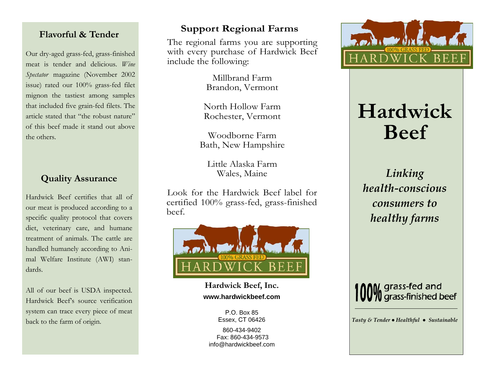#### **Flavorful & Tender**

Our dry-aged grass-fed, grass-finished meat is tender and delicious. *Wine Spectator* magazine (November 2002 issue) rated our 100% grass-fed filet mignon the tastiest among samples that included five grain-fed filets. The article stated that "the robust nature" of this beef made it stand out above the others.

## **Quality Assurance**

Hardwick Beef certifies that all of our meat is produced according to a specific quality protocol that covers diet, veterinary care, and humane treatment of animals. The cattle are handled humanely according to Animal Welfare Institute (AWI) standards.

All of our beef is USDA inspected. Hardwick Beef's source verification system can trace every piece of meat back to the farm of origin.

### **Support Regional Farms**

The regional farms you are supporting with every purchase of Hardwick Beef include the following:

> Millbrand FarmBrandon, Vermont

North Hollow FarmRochester, Vermont

Woodborne FarmBath, New Hampshire

Little Alaska FarmWales, Maine

Look for the Hardwick Beef label for certified 100% grass-fed, grass-finished beef.



**Hardwick Beef, Inc. www.hardwickbeef.com** 

> P.O. Box 85Essex, CT 06426

860-434-9402 Fax: 860-434-9573info@hardwickbeef.com



# **Hardwick Beef**

*Linking health‐conscious consumers to healthy farms*



*Tasty & Tender ● Healthful ● Sustainable*